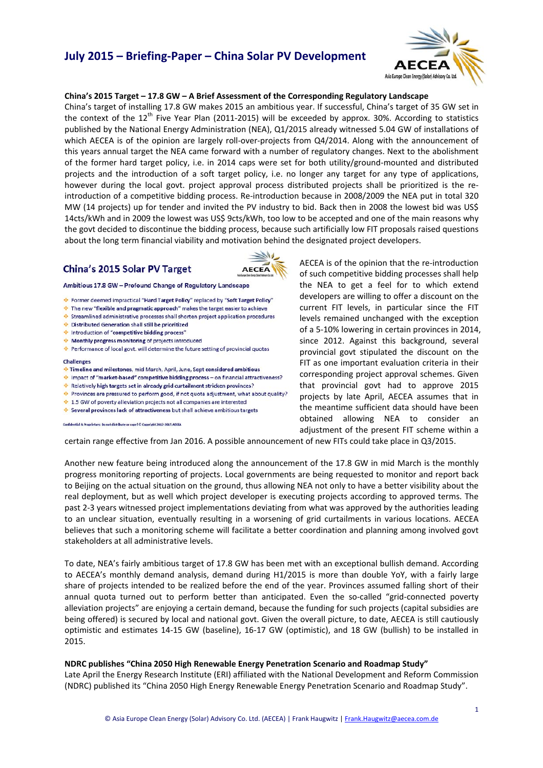

#### **China's 2015 Target – 17.8 GW – A Brief Assessment of the Corresponding Regulatory Landscape**

China's target of installing 17.8 GW makes 2015 an ambitious year. If successful, China's target of 35 GW set in the context of the  $12^{th}$  Five Year Plan (2011-2015) will be exceeded by approx. 30%. According to statistics published by the National Energy Administration (NEA), Q1/2015 already witnessed 5.04 GW of installations of which AECEA is of the opinion are largely roll-over-projects from Q4/2014. Along with the announcement of this years annual target the NEA came forward with a number of regulatory changes. Next to the abolishment of the former hard target policy, i.e. in 2014 caps were set for both utility/ground‐mounted and distributed projects and the introduction of a soft target policy, i.e. no longer any target for any type of applications, however during the local govt. project approval process distributed projects shall be prioritized is the reintroduction of a competitive bidding process. Re‐introduction because in 2008/2009 the NEA put in total 320 MW (14 projects) up for tender and invited the PV industry to bid. Back then in 2008 the lowest bid was US\$ 14cts/kWh and in 2009 the lowest was US\$ 9cts/kWh, too low to be accepted and one of the main reasons why the govt decided to discontinue the bidding process, because such artificially low FIT proposals raised questions about the long term financial viability and motivation behind the designated project developers.

### China's 2015 Solar PV Target



Ambitious 17.8 GW - Profound Change of Regulatory Landscape

- \* Former deemed impractical "Hard Target Policy" replaced by "Soft Target Policy"
- $\div$  The new "flexible and pragmatic approach" makes the target easier to achieve
- Streamlined administrative processes shall shorten project application procedures
- **E** Distributed Generation shall still be prioritized
- introduction of "competitive bidding process"
- Monthly progress monitoring of projects introduced
- + Performance of local govt, will determine the future setting of provincial quotas

#### **Challenges**

- Timeline and milestones, mid March, April, June, Sept considered ambitious
- Impact of "market-based" competitive bidding process on financial attractiveness?
- Relatively high targets set in already grid curtailment stricken provinces?
- Provinces are pressured to perform good, if not quota adjustment, what about quality?
- 1.5 GW of poverty alleviation projects not all companies are interested
- Several provinces lack of attractiveness but shall achieve ambitious targets

Confidential & Proprietary: Do not distribute or copy! © Copyright 2012-2015 ACCEA

AECEA is of the opinion that the re‐introduction of such competitive bidding processes shall help the NEA to get a feel for to which extend developers are willing to offer a discount on the current FIT levels, in particular since the FIT levels remained unchanged with the exception of a 5‐10% lowering in certain provinces in 2014, since 2012. Against this background, several provincial govt stipulated the discount on the FIT as one important evaluation criteria in their corresponding project approval schemes. Given that provincial govt had to approve 2015 projects by late April, AECEA assumes that in the meantime sufficient data should have been obtained allowing NEA to consider an adjustment of the present FIT scheme within a

certain range effective from Jan 2016. A possible announcement of new FITs could take place in Q3/2015.

Another new feature being introduced along the announcement of the 17.8 GW in mid March is the monthly progress monitoring reporting of projects. Local governments are being requested to monitor and report back to Beijing on the actual situation on the ground, thus allowing NEA not only to have a better visibility about the real deployment, but as well which project developer is executing projects according to approved terms. The past 2‐3 years witnessed project implementations deviating from what was approved by the authorities leading to an unclear situation, eventually resulting in a worsening of grid curtailments in various locations. AECEA believes that such a monitoring scheme will facilitate a better coordination and planning among involved govt stakeholders at all administrative levels.

To date, NEA's fairly ambitious target of 17.8 GW has been met with an exceptional bullish demand. According to AECEA's monthly demand analysis, demand during H1/2015 is more than double YoY, with a fairly large share of projects intended to be realized before the end of the year. Provinces assumed falling short of their annual quota turned out to perform better than anticipated. Even the so-called "grid-connected poverty alleviation projects" are enjoying a certain demand, because the funding for such projects (capital subsidies are being offered) is secured by local and national govt. Given the overall picture, to date, AECEA is still cautiously optimistic and estimates 14‐15 GW (baseline), 16‐17 GW (optimistic), and 18 GW (bullish) to be installed in 2015.

#### **NDRC publishes "China 2050 High Renewable Energy Penetration Scenario and Roadmap Study"**

Late April the Energy Research Institute (ERI) affiliated with the National Development and Reform Commission (NDRC) published its "China 2050 High Energy Renewable Energy Penetration Scenario and Roadmap Study".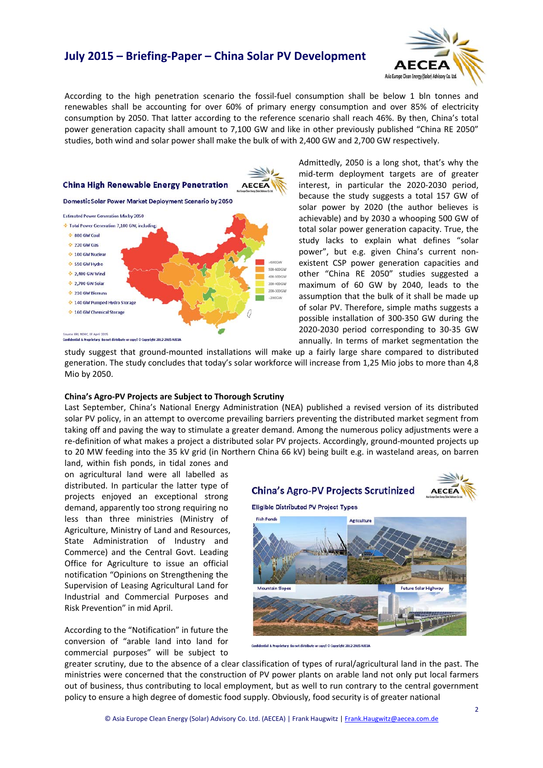

According to the high penetration scenario the fossil‐fuel consumption shall be below 1 bln tonnes and renewables shall be accounting for over 60% of primary energy consumption and over 85% of electricity consumption by 2050. That latter according to the reference scenario shall reach 46%. By then, China's total power generation capacity shall amount to 7,100 GW and like in other previously published "China RE 2050" studies, both wind and solar power shall make the bulk of with 2,400 GW and 2,700 GW respectively.



Admittedly, 2050 is a long shot, that's why the mid-term deployment targets are of greater interest, in particular the 2020‐2030 period, because the study suggests a total 157 GW of solar power by 2020 (the author believes is achievable) and by 2030 a whooping 500 GW of total solar power generation capacity. True, the study lacks to explain what defines "solar power", but e.g. given China's current non‐ existent CSP power generation capacities and other "China RE 2050" studies suggested a maximum of 60 GW by 2040, leads to the assumption that the bulk of it shall be made up of solar PV. Therefore, simple maths suggests a possible installation of 300‐350 GW during the 2020‐2030 period corresponding to 30‐35 GW annually. In terms of market segmentation the

study suggest that ground‐mounted installations will make up a fairly large share compared to distributed generation. The study concludes that today's solar workforce will increase from 1,25 Mio jobs to more than 4,8 Mio by 2050.

#### **China's Agro‐PV Projects are Subject to Thorough Scrutiny**

Last September, China's National Energy Administration (NEA) published a revised version of its distributed solar PV policy, in an attempt to overcome prevailing barriers preventing the distributed market segment from taking off and paving the way to stimulate a greater demand. Among the numerous policy adjustments were a re-definition of what makes a project a distributed solar PV projects. Accordingly, ground-mounted projects up to 20 MW feeding into the 35 kV grid (in Northern China 66 kV) being built e.g. in wasteland areas, on barren

land, within fish ponds, in tidal zones and on agricultural land were all labelled as distributed. In particular the latter type of projects enjoyed an exceptional strong demand, apparently too strong requiring no less than three ministries (Ministry of Agriculture, Ministry of Land and Resources, State Administration of Industry and Commerce) and the Central Govt. Leading Office for Agriculture to issue an official notification "Opinions on Strengthening the Supervision of Leasing Agricultural Land for Industrial and Commercial Purposes and Risk Prevention" in mid April.

According to the "Notification" in future the conversion of "arable land into land for commercial purposes" will be subject to

**China's Agro-PV Projects Scrutinized** 



**Eligible Distributed PV Project Types** 



A Proprietary: Do not distribute or copy! © Copyright 2012-2015 ACCD

greater scrutiny, due to the absence of a clear classification of types of rural/agricultural land in the past. The ministries were concerned that the construction of PV power plants on arable land not only put local farmers out of business, thus contributing to local employment, but as well to run contrary to the central government policy to ensure a high degree of domestic food supply. Obviously, food security is of greater national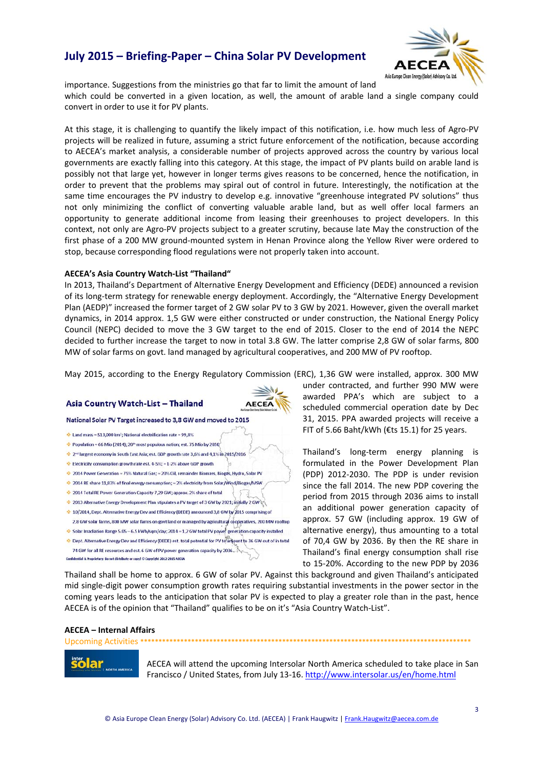

importance. Suggestions from the ministries go that far to limit the amount of land which could be converted in a given location, as well, the amount of arable land a single company could convert in order to use it for PV plants.

At this stage, it is challenging to quantify the likely impact of this notification, i.e. how much less of Agro‐PV projects will be realized in future, assuming a strict future enforcement of the notification, because according to AECEA's market analysis, a considerable number of projects approved across the country by various local governments are exactly falling into this category. At this stage, the impact of PV plants build on arable land is possibly not that large yet, however in longer terms gives reasons to be concerned, hence the notification, in order to prevent that the problems may spiral out of control in future. Interestingly, the notification at the same time encourages the PV industry to develop e.g. innovative "greenhouse integrated PV solutions" thus not only minimizing the conflict of converting valuable arable land, but as well offer local farmers an opportunity to generate additional income from leasing their greenhouses to project developers. In this context, not only are Agro‐PV projects subject to a greater scrutiny, because late May the construction of the first phase of a 200 MW ground-mounted system in Henan Province along the Yellow River were ordered to stop, because corresponding flood regulations were not properly taken into account.

#### **AECEA's Asia Country Watch‐List "Thailand"**

In 2013, Thailand's Department of Alternative Energy Development and Efficiency (DEDE) announced a revision of its long‐term strategy for renewable energy deployment. Accordingly, the "Alternative Energy Development Plan (AEDP)" increased the former target of 2 GW solar PV to 3 GW by 2021. However, given the overall market dynamics, in 2014 approx. 1,5 GW were either constructed or under construction, the National Energy Policy Council (NEPC) decided to move the 3 GW target to the end of 2015. Closer to the end of 2014 the NEPC decided to further increase the target to now in total 3.8 GW. The latter comprise 2,8 GW of solar farms, 800 MW of solar farms on govt. land managed by agricultural cooperatives, and 200 MW of PV rooftop.

May 2015, according to the Energy Regulatory Commission (ERC), 1,36 GW were installed, approx. 300 MW

### Asia Country Watch-List - Thailand



#### National Solar PV Target increased to 3,8 GW and moved to 2015

- $\div$  Land mass = 513,000 km<sup>2</sup>; National electrification rate = 99,8%
- ← Population ≈ 66 Mio (2014): 20<sup>th</sup> most populous nation: est. 75 Mio by 2050
- 2nd largest economy in South East Asia; est. GDP growth rate 3,6% and 4,1% in 2015/2016 Electricity consumption growth rate est. 4-5%;  $\approx$  1-2% above GDP growth
- 2014 Power Generation ~ 75% Natural Gas; ~ 20% Oil, remainder Biomass, Biogas, Hydro, Solar PV
- 2014 RE share 11,83% of final energy consumption; ~ 2% electricity from Solar/Wind/Biogas/MSW
- 2014 Total RE Power Generation Capacity 7,29 GW; approx, 2% share of total
- 2013 Alternative Energy Development Plan stipulates a PV target of 3 GW by 2021; initially 2 GW
- 10/2014, Dept. Alternative Energy Dev and Efficiency (DEDE) announced 3,8 GW by 2015 comprising of
- 2,8 GW solar farms, 800 MW solar farms on govt land or managed by agricultural cooperatives, 200 MW rooftop
- Solar Irradiation Range 5.05 6.5 kWh/sqm/day; 2014 1,2 GW total PV power generation capacity installed Dept. Alternative Energy Dev and Efficiency (DEDE) est. total potential for PV to amount to 36 GW out of in total
- 74 GW for all RE resources and est. 6 GW of PV power generation capacity by 2036. Confidential & Proprietary: Do not distribute or copy! © Copyright 2012-2015 ACCEA

under contracted, and further 990 MW were awarded PPA's which are subject to a scheduled commercial operation date by Dec 31, 2015. PPA awarded projects will receive a FIT of 5.66 Baht/kWh ( $E$ ts 15.1) for 25 years.

Thailand's long‐term energy planning is formulated in the Power Development Plan (PDP) 2012‐2030. The PDP is under revision since the fall 2014. The new PDP covering the period from 2015 through 2036 aims to install an additional power generation capacity of approx. 57 GW (including approx. 19 GW of alternative energy), thus amounting to a total of 70,4 GW by 2036. By then the RE share in Thailand's final energy consumption shall rise to 15‐20%. According to the new PDP by 2036

Thailand shall be home to approx. 6 GW of solar PV. Against this background and given Thailand's anticipated mid single‐digit power consumption growth rates requiring substantial investments in the power sector in the coming years leads to the anticipation that solar PV is expected to play a greater role than in the past, hence AECEA is of the opinion that "Thailand" qualifies to be on it's "Asia Country Watch‐List".

Upcoming Activities **\*\*\*\*\*\*\*\*\*\*\*\*\*\*\*\*\*\*\*\*\*\*\*\*\*\*\*\*\*\*\*\*\*\*\*\*\*\*\*\*\*\*\*\*\*\*\*\*\*\*\*\*\*\*\*\*\*\*\*\*\*\*\*\*\*\*\*\*\*\*\*\*\*\*\*\*\*\*\*\*\*\*\*\*\*\*\*\*\*\*\***

#### **AECEA – Internal Affairs**



AECEA will attend the upcoming Intersolar North America scheduled to take place in San Francisco / United States, from July 13‐16. http://www.intersolar.us/en/home.html